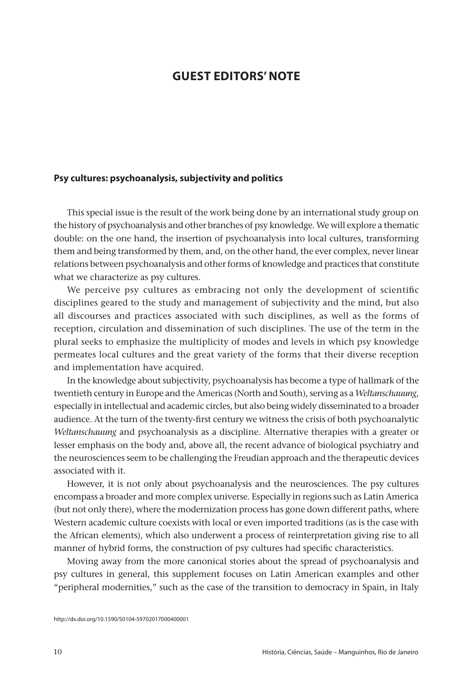## **GUEST EDITORS' NOTE**

## **Psy cultures: psychoanalysis, subjectivity and politics**

This special issue is the result of the work being done by an international study group on the history of psychoanalysis and other branches of psy knowledge. We will explore a thematic double: on the one hand, the insertion of psychoanalysis into local cultures, transforming them and being transformed by them, and, on the other hand, the ever complex, never linear relations between psychoanalysis and other forms of knowledge and practices that constitute what we characterize as psy cultures.

We perceive psy cultures as embracing not only the development of scientific disciplines geared to the study and management of subjectivity and the mind, but also all discourses and practices associated with such disciplines, as well as the forms of reception, circulation and dissemination of such disciplines. The use of the term in the plural seeks to emphasize the multiplicity of modes and levels in which psy knowledge permeates local cultures and the great variety of the forms that their diverse reception and implementation have acquired.

In the knowledge about subjectivity, psychoanalysis has become a type of hallmark of the twentieth century in Europe and the Americas (North and South), serving as a *Weltanschauung*, especially in intellectual and academic circles, but also being widely disseminated to a broader audience. At the turn of the twenty-first century we witness the crisis of both psychoanalytic *Weltanschauung* and psychoanalysis as a discipline. Alternative therapies with a greater or lesser emphasis on the body and, above all, the recent advance of biological psychiatry and the neurosciences seem to be challenging the Freudian approach and the therapeutic devices associated with it.

However, it is not only about psychoanalysis and the neurosciences. The psy cultures encompass a broader and more complex universe. Especially in regions such as Latin America (but not only there), where the modernization process has gone down different paths, where Western academic culture coexists with local or even imported traditions (as is the case with the African elements), which also underwent a process of reinterpretation giving rise to all manner of hybrid forms, the construction of psy cultures had specific characteristics.

Moving away from the more canonical stories about the spread of psychoanalysis and psy cultures in general, this supplement focuses on Latin American examples and other "peripheral modernities," such as the case of the transition to democracy in Spain, in Italy

http://dx.doi.org/10.1590/S0104-59702017000400001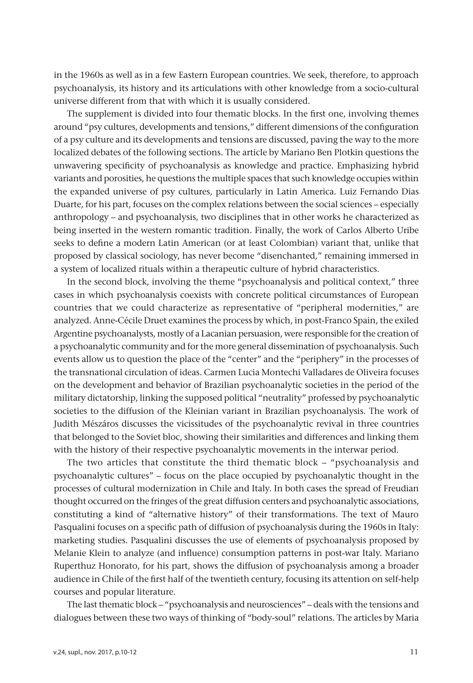in the 1960s as well as in a few Eastern European countries. We seek, therefore, to approach psychoanalysis, its history and its articulations with other knowledge from a socio-cultural universe different from that with which it is usually considered.

The supplement is divided into four thematic blocks. In the first one, involving themes around "psy cultures, developments and tensions," different dimensions of the configuration of a psy culture and its developments and tensions are discussed, paving the way to the more localized debates of the following sections. The article by Mariano Ben Plotkin questions the unwavering specificity of psychoanalysis as knowledge and practice. Emphasizing hybrid variants and porosities, he questions the multiple spaces that such knowledge occupies within the expanded universe of psy cultures, particularly in Latin America. Luiz Fernando Dias Duarte, for his part, focuses on the complex relations between the social sciences – especially anthropology – and psychoanalysis, two disciplines that in other works he characterized as being inserted in the western romantic tradition. Finally, the work of Carlos Alberto Uribe seeks to define a modern Latin American (or at least Colombian) variant that, unlike that proposed by classical sociology, has never become "disenchanted," remaining immersed in a system of localized rituals within a therapeutic culture of hybrid characteristics.

In the second block, involving the theme "psychoanalysis and political context," three cases in which psychoanalysis coexists with concrete political circumstances of European countries that we could characterize as representative of "peripheral modernities," are analyzed. Anne-Cécile Druet examines the process by which, in post-Franco Spain, the exiled Argentine psychoanalysts, mostly of a Lacanian persuasion, were responsible for the creation of a psychoanalytic community and for the more general dissemination of psychoanalysis. Such events allow us to question the place of the "center" and the "periphery" in the processes of the transnational circulation of ideas. Carmen Lucia Montechi Valladares de Oliveira focuses on the development and behavior of Brazilian psychoanalytic societies in the period of the military dictatorship, linking the supposed political "neutrality" professed by psychoanalytic societies to the diffusion of the Kleinian variant in Brazilian psychoanalysis. The work of Judith Mészáros discusses the vicissitudes of the psychoanalytic revival in three countries that belonged to the Soviet bloc, showing their similarities and differences and linking them with the history of their respective psychoanalytic movements in the interwar period.

The two articles that constitute the third thematic block – "psychoanalysis and psychoanalytic cultures" – focus on the place occupied by psychoanalytic thought in the processes of cultural modernization in Chile and Italy. In both cases the spread of Freudian thought occurred on the fringes of the great diffusion centers and psychoanalytic associations, constituting a kind of "alternative history" of their transformations. The text of Mauro Pasqualini focuses on a specific path of diffusion of psychoanalysis during the 1960s in Italy: marketing studies. Pasqualini discusses the use of elements of psychoanalysis proposed by Melanie Klein to analyze (and influence) consumption patterns in post-war Italy. Mariano Ruperthuz Honorato, for his part, shows the diffusion of psychoanalysis among a broader audience in Chile of the first half of the twentieth century, focusing its attention on self-help courses and popular literature.

The last thematic block – "psychoanalysis and neurosciences" – deals with the tensions and dialogues between these two ways of thinking of "body-soul" relations. The articles by Maria